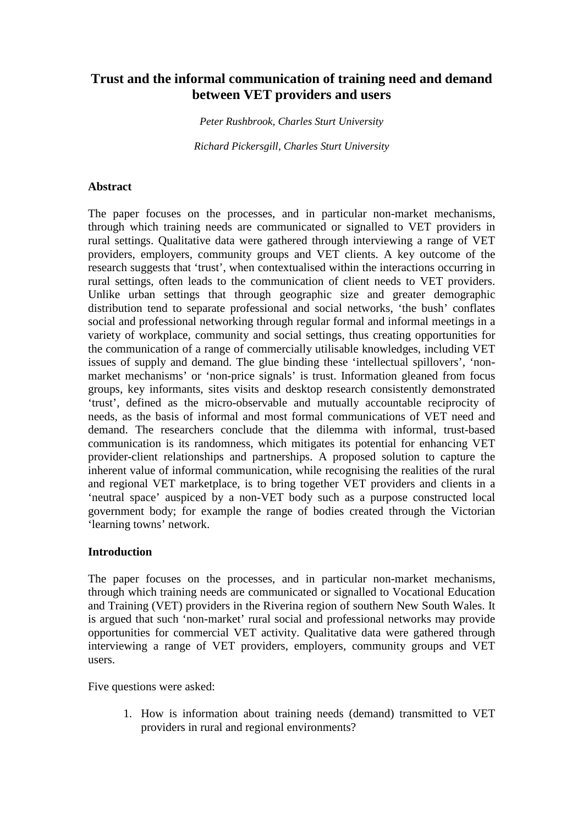# **Trust and the informal communication of training need and demand between VET providers and users**

*Peter Rushbrook, Charles Sturt University* 

*Richard Pickersgill, Charles Sturt University* 

# **Abstract**

The paper focuses on the processes, and in particular non-market mechanisms, through which training needs are communicated or signalled to VET providers in rural settings. Qualitative data were gathered through interviewing a range of VET providers, employers, community groups and VET clients. A key outcome of the research suggests that 'trust', when contextualised within the interactions occurring in rural settings, often leads to the communication of client needs to VET providers. Unlike urban settings that through geographic size and greater demographic distribution tend to separate professional and social networks, 'the bush' conflates social and professional networking through regular formal and informal meetings in a variety of workplace, community and social settings, thus creating opportunities for the communication of a range of commercially utilisable knowledges, including VET issues of supply and demand. The glue binding these 'intellectual spillovers', 'nonmarket mechanisms' or 'non-price signals' is trust. Information gleaned from focus groups, key informants, sites visits and desktop research consistently demonstrated 'trust', defined as the micro-observable and mutually accountable reciprocity of needs, as the basis of informal and most formal communications of VET need and demand. The researchers conclude that the dilemma with informal, trust-based communication is its randomness, which mitigates its potential for enhancing VET provider-client relationships and partnerships. A proposed solution to capture the inherent value of informal communication, while recognising the realities of the rural and regional VET marketplace, is to bring together VET providers and clients in a 'neutral space' auspiced by a non-VET body such as a purpose constructed local government body; for example the range of bodies created through the Victorian 'learning towns' network.

# **Introduction**

The paper focuses on the processes, and in particular non-market mechanisms, through which training needs are communicated or signalled to Vocational Education and Training (VET) providers in the Riverina region of southern New South Wales. It is argued that such 'non-market' rural social and professional networks may provide opportunities for commercial VET activity. Qualitative data were gathered through interviewing a range of VET providers, employers, community groups and VET users.

Five questions were asked:

1. How is information about training needs (demand) transmitted to VET providers in rural and regional environments?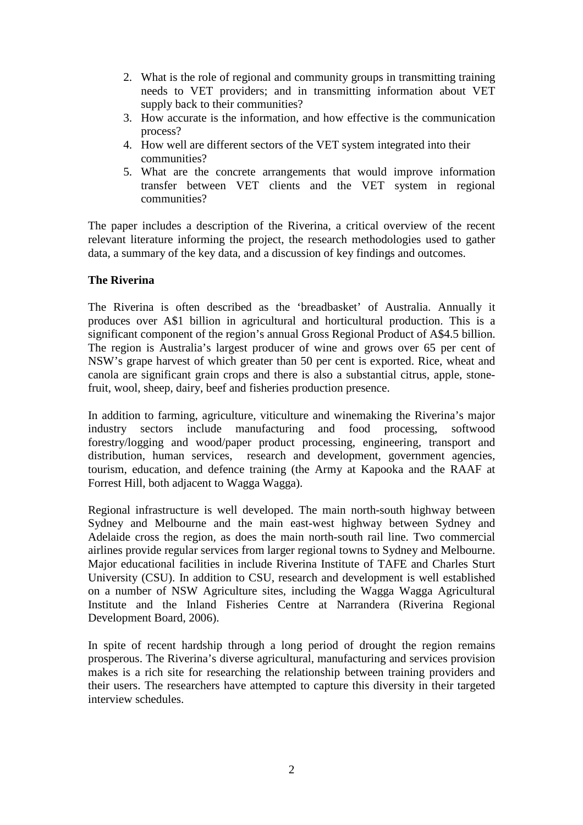- 2. What is the role of regional and community groups in transmitting training needs to VET providers; and in transmitting information about VET supply back to their communities?
- 3. How accurate is the information, and how effective is the communication process?
- 4. How well are different sectors of the VET system integrated into their communities?
- 5. What are the concrete arrangements that would improve information transfer between VET clients and the VET system in regional communities?

The paper includes a description of the Riverina, a critical overview of the recent relevant literature informing the project, the research methodologies used to gather data, a summary of the key data, and a discussion of key findings and outcomes.

# **The Riverina**

The Riverina is often described as the 'breadbasket' of Australia. Annually it produces over A\$1 billion in agricultural and horticultural production. This is a significant component of the region's annual Gross Regional Product of A\$4.5 billion. The region is Australia's largest producer of wine and grows over 65 per cent of NSW's grape harvest of which greater than 50 per cent is exported. Rice, wheat and canola are significant grain crops and there is also a substantial citrus, apple, stonefruit, wool, sheep, dairy, beef and fisheries production presence.

In addition to farming, agriculture, viticulture and winemaking the Riverina's major industry sectors include manufacturing and food processing, softwood forestry/logging and wood/paper product processing, engineering, transport and distribution, human services, research and development, government agencies, tourism, education, and defence training (the Army at Kapooka and the RAAF at Forrest Hill, both adjacent to Wagga Wagga).

Regional infrastructure is well developed. The main north-south highway between Sydney and Melbourne and the main east-west highway between Sydney and Adelaide cross the region, as does the main north-south rail line. Two commercial airlines provide regular services from larger regional towns to Sydney and Melbourne. Major educational facilities in include Riverina Institute of TAFE and Charles Sturt University (CSU). In addition to CSU, research and development is well established on a number of NSW Agriculture sites, including the Wagga Wagga Agricultural Institute and the Inland Fisheries Centre at Narrandera (Riverina Regional Development Board, 2006).

In spite of recent hardship through a long period of drought the region remains prosperous. The Riverina's diverse agricultural, manufacturing and services provision makes is a rich site for researching the relationship between training providers and their users. The researchers have attempted to capture this diversity in their targeted interview schedules.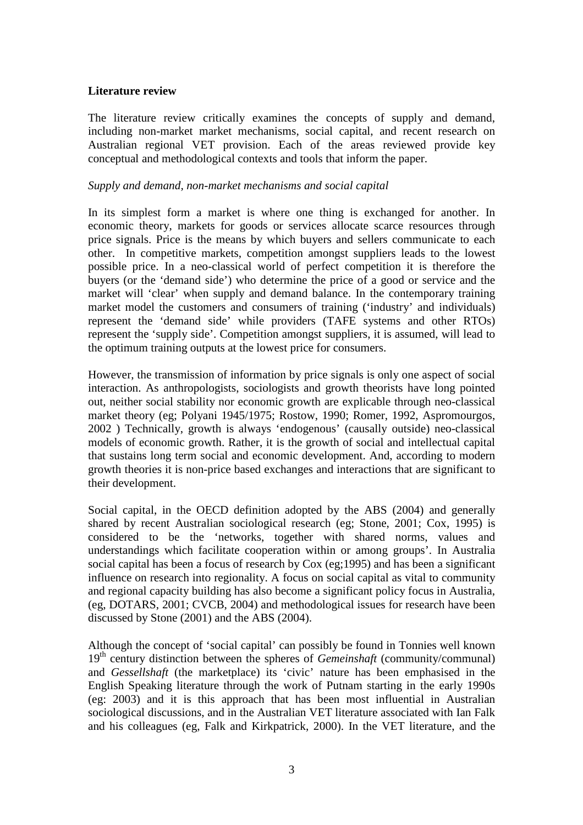## **Literature review**

The literature review critically examines the concepts of supply and demand, including non-market market mechanisms, social capital, and recent research on Australian regional VET provision. Each of the areas reviewed provide key conceptual and methodological contexts and tools that inform the paper.

#### *Supply and demand, non-market mechanisms and social capital*

In its simplest form a market is where one thing is exchanged for another. In economic theory, markets for goods or services allocate scarce resources through price signals. Price is the means by which buyers and sellers communicate to each other. In competitive markets, competition amongst suppliers leads to the lowest possible price. In a neo-classical world of perfect competition it is therefore the buyers (or the 'demand side') who determine the price of a good or service and the market will 'clear' when supply and demand balance. In the contemporary training market model the customers and consumers of training ('industry' and individuals) represent the 'demand side' while providers (TAFE systems and other RTOs) represent the 'supply side'. Competition amongst suppliers, it is assumed, will lead to the optimum training outputs at the lowest price for consumers.

However, the transmission of information by price signals is only one aspect of social interaction. As anthropologists, sociologists and growth theorists have long pointed out, neither social stability nor economic growth are explicable through neo-classical market theory (eg; Polyani 1945/1975; Rostow, 1990; Romer, 1992, Aspromourgos, 2002 ) Technically, growth is always 'endogenous' (causally outside) neo-classical models of economic growth. Rather, it is the growth of social and intellectual capital that sustains long term social and economic development. And, according to modern growth theories it is non-price based exchanges and interactions that are significant to their development.

Social capital, in the OECD definition adopted by the ABS (2004) and generally shared by recent Australian sociological research (eg; Stone, 2001; Cox, 1995) is considered to be the 'networks, together with shared norms, values and understandings which facilitate cooperation within or among groups'. In Australia social capital has been a focus of research by Cox (eg;1995) and has been a significant influence on research into regionality. A focus on social capital as vital to community and regional capacity building has also become a significant policy focus in Australia, (eg, DOTARS, 2001; CVCB, 2004) and methodological issues for research have been discussed by Stone (2001) and the ABS (2004).

Although the concept of 'social capital' can possibly be found in Tonnies well known 19th century distinction between the spheres of *Gemeinshaft* (community/communal) and *Gessellshaft* (the marketplace) its 'civic' nature has been emphasised in the English Speaking literature through the work of Putnam starting in the early 1990s (eg: 2003) and it is this approach that has been most influential in Australian sociological discussions, and in the Australian VET literature associated with Ian Falk and his colleagues (eg, Falk and Kirkpatrick, 2000). In the VET literature, and the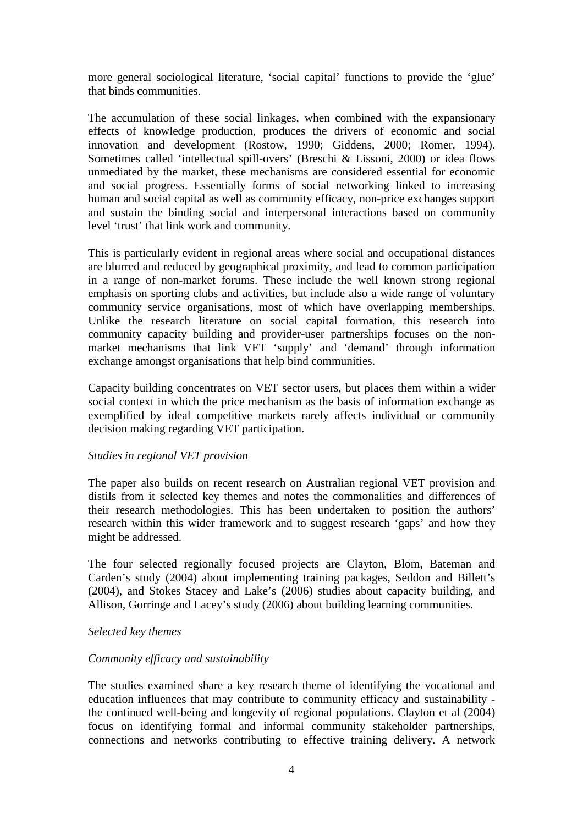more general sociological literature, 'social capital' functions to provide the 'glue' that binds communities.

The accumulation of these social linkages, when combined with the expansionary effects of knowledge production, produces the drivers of economic and social innovation and development (Rostow, 1990; Giddens, 2000; Romer, 1994). Sometimes called 'intellectual spill-overs' (Breschi & Lissoni, 2000) or idea flows unmediated by the market, these mechanisms are considered essential for economic and social progress. Essentially forms of social networking linked to increasing human and social capital as well as community efficacy, non-price exchanges support and sustain the binding social and interpersonal interactions based on community level 'trust' that link work and community.

This is particularly evident in regional areas where social and occupational distances are blurred and reduced by geographical proximity, and lead to common participation in a range of non-market forums. These include the well known strong regional emphasis on sporting clubs and activities, but include also a wide range of voluntary community service organisations, most of which have overlapping memberships. Unlike the research literature on social capital formation, this research into community capacity building and provider-user partnerships focuses on the nonmarket mechanisms that link VET 'supply' and 'demand' through information exchange amongst organisations that help bind communities.

Capacity building concentrates on VET sector users, but places them within a wider social context in which the price mechanism as the basis of information exchange as exemplified by ideal competitive markets rarely affects individual or community decision making regarding VET participation.

#### *Studies in regional VET provision*

The paper also builds on recent research on Australian regional VET provision and distils from it selected key themes and notes the commonalities and differences of their research methodologies. This has been undertaken to position the authors' research within this wider framework and to suggest research 'gaps' and how they might be addressed.

The four selected regionally focused projects are Clayton, Blom, Bateman and Carden's study (2004) about implementing training packages, Seddon and Billett's (2004), and Stokes Stacey and Lake's (2006) studies about capacity building, and Allison, Gorringe and Lacey's study (2006) about building learning communities.

#### *Selected key themes*

## *Community efficacy and sustainability*

The studies examined share a key research theme of identifying the vocational and education influences that may contribute to community efficacy and sustainability the continued well-being and longevity of regional populations. Clayton et al (2004) focus on identifying formal and informal community stakeholder partnerships, connections and networks contributing to effective training delivery. A network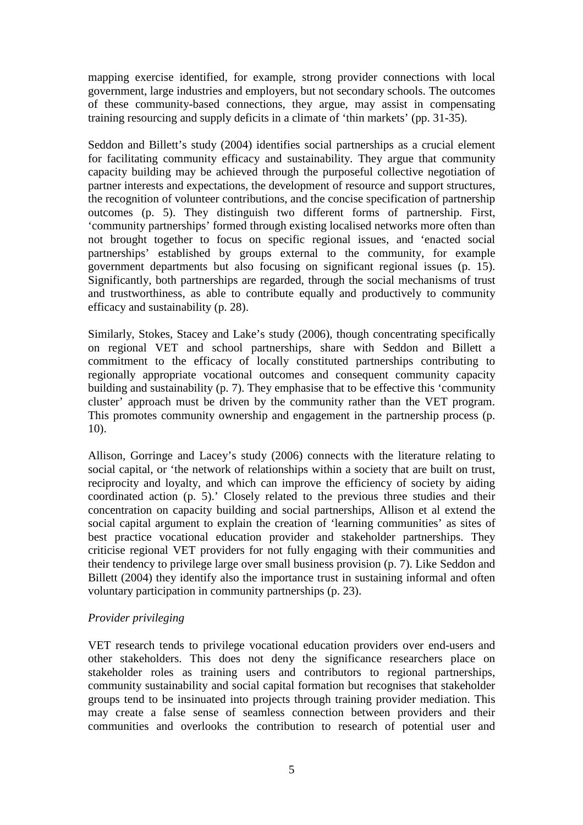mapping exercise identified, for example, strong provider connections with local government, large industries and employers, but not secondary schools. The outcomes of these community-based connections, they argue, may assist in compensating training resourcing and supply deficits in a climate of 'thin markets' (pp. 31-35).

Seddon and Billett's study (2004) identifies social partnerships as a crucial element for facilitating community efficacy and sustainability. They argue that community capacity building may be achieved through the purposeful collective negotiation of partner interests and expectations, the development of resource and support structures, the recognition of volunteer contributions, and the concise specification of partnership outcomes (p. 5). They distinguish two different forms of partnership. First, 'community partnerships' formed through existing localised networks more often than not brought together to focus on specific regional issues, and 'enacted social partnerships' established by groups external to the community, for example government departments but also focusing on significant regional issues (p. 15). Significantly, both partnerships are regarded, through the social mechanisms of trust and trustworthiness, as able to contribute equally and productively to community efficacy and sustainability (p. 28).

Similarly, Stokes, Stacey and Lake's study (2006), though concentrating specifically on regional VET and school partnerships, share with Seddon and Billett a commitment to the efficacy of locally constituted partnerships contributing to regionally appropriate vocational outcomes and consequent community capacity building and sustainability (p. 7). They emphasise that to be effective this 'community cluster' approach must be driven by the community rather than the VET program. This promotes community ownership and engagement in the partnership process (p. 10).

Allison, Gorringe and Lacey's study (2006) connects with the literature relating to social capital, or 'the network of relationships within a society that are built on trust, reciprocity and loyalty, and which can improve the efficiency of society by aiding coordinated action (p. 5).' Closely related to the previous three studies and their concentration on capacity building and social partnerships, Allison et al extend the social capital argument to explain the creation of 'learning communities' as sites of best practice vocational education provider and stakeholder partnerships. They criticise regional VET providers for not fully engaging with their communities and their tendency to privilege large over small business provision (p. 7). Like Seddon and Billett (2004) they identify also the importance trust in sustaining informal and often voluntary participation in community partnerships (p. 23).

## *Provider privileging*

VET research tends to privilege vocational education providers over end-users and other stakeholders. This does not deny the significance researchers place on stakeholder roles as training users and contributors to regional partnerships, community sustainability and social capital formation but recognises that stakeholder groups tend to be insinuated into projects through training provider mediation. This may create a false sense of seamless connection between providers and their communities and overlooks the contribution to research of potential user and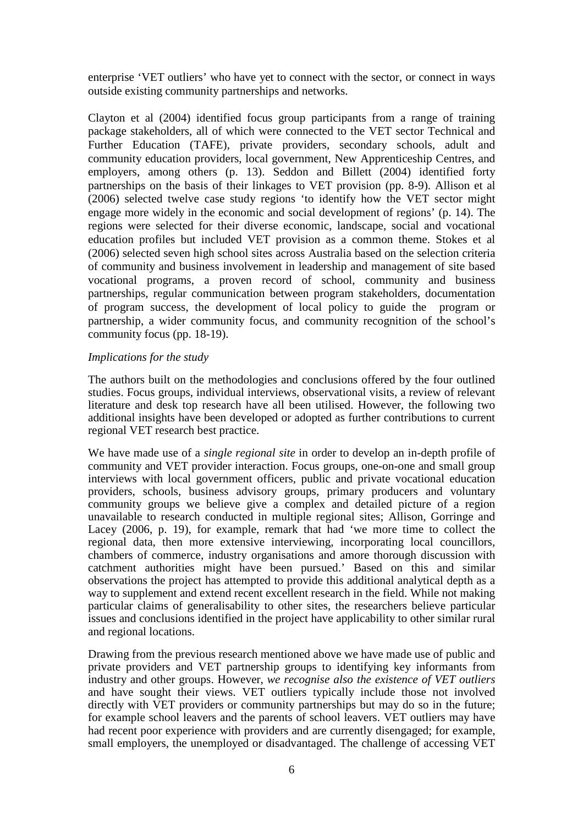enterprise 'VET outliers' who have yet to connect with the sector, or connect in ways outside existing community partnerships and networks.

Clayton et al (2004) identified focus group participants from a range of training package stakeholders, all of which were connected to the VET sector Technical and Further Education (TAFE), private providers, secondary schools, adult and community education providers, local government, New Apprenticeship Centres, and employers, among others (p. 13). Seddon and Billett (2004) identified forty partnerships on the basis of their linkages to VET provision (pp. 8-9). Allison et al (2006) selected twelve case study regions 'to identify how the VET sector might engage more widely in the economic and social development of regions' (p. 14). The regions were selected for their diverse economic, landscape, social and vocational education profiles but included VET provision as a common theme. Stokes et al (2006) selected seven high school sites across Australia based on the selection criteria of community and business involvement in leadership and management of site based vocational programs, a proven record of school, community and business partnerships, regular communication between program stakeholders, documentation of program success, the development of local policy to guide the program or partnership, a wider community focus, and community recognition of the school's community focus (pp. 18-19).

#### *Implications for the study*

The authors built on the methodologies and conclusions offered by the four outlined studies. Focus groups, individual interviews, observational visits, a review of relevant literature and desk top research have all been utilised. However, the following two additional insights have been developed or adopted as further contributions to current regional VET research best practice.

We have made use of a *single regional site* in order to develop an in-depth profile of community and VET provider interaction. Focus groups, one-on-one and small group interviews with local government officers, public and private vocational education providers, schools, business advisory groups, primary producers and voluntary community groups we believe give a complex and detailed picture of a region unavailable to research conducted in multiple regional sites; Allison, Gorringe and Lacey (2006, p. 19), for example, remark that had 'we more time to collect the regional data, then more extensive interviewing, incorporating local councillors, chambers of commerce, industry organisations and amore thorough discussion with catchment authorities might have been pursued.' Based on this and similar observations the project has attempted to provide this additional analytical depth as a way to supplement and extend recent excellent research in the field. While not making particular claims of generalisability to other sites, the researchers believe particular issues and conclusions identified in the project have applicability to other similar rural and regional locations.

Drawing from the previous research mentioned above we have made use of public and private providers and VET partnership groups to identifying key informants from industry and other groups. However, *we recognise also the existence of VET outliers* and have sought their views. VET outliers typically include those not involved directly with VET providers or community partnerships but may do so in the future; for example school leavers and the parents of school leavers. VET outliers may have had recent poor experience with providers and are currently disengaged; for example, small employers, the unemployed or disadvantaged. The challenge of accessing VET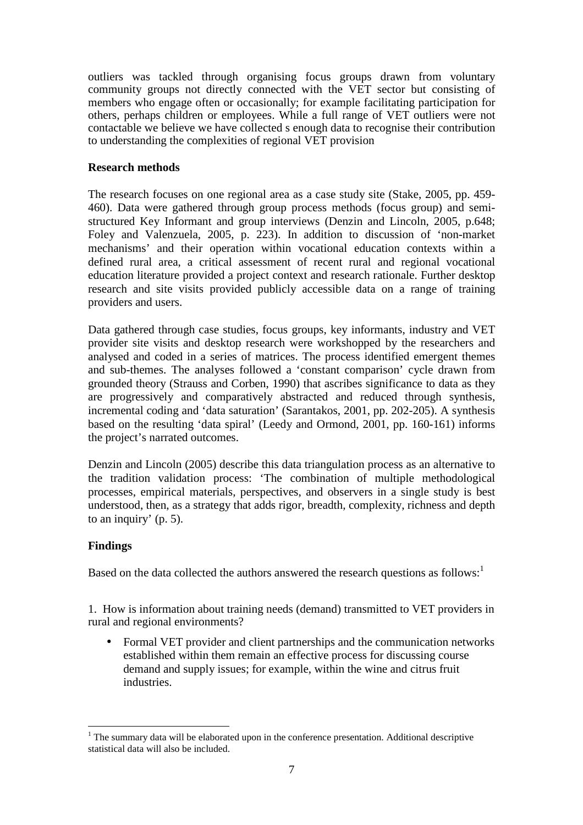outliers was tackled through organising focus groups drawn from voluntary community groups not directly connected with the VET sector but consisting of members who engage often or occasionally; for example facilitating participation for others, perhaps children or employees. While a full range of VET outliers were not contactable we believe we have collected s enough data to recognise their contribution to understanding the complexities of regional VET provision

## **Research methods**

The research focuses on one regional area as a case study site (Stake, 2005, pp. 459- 460). Data were gathered through group process methods (focus group) and semistructured Key Informant and group interviews (Denzin and Lincoln, 2005, p.648; Foley and Valenzuela, 2005, p. 223). In addition to discussion of 'non-market mechanisms' and their operation within vocational education contexts within a defined rural area, a critical assessment of recent rural and regional vocational education literature provided a project context and research rationale. Further desktop research and site visits provided publicly accessible data on a range of training providers and users.

Data gathered through case studies, focus groups, key informants, industry and VET provider site visits and desktop research were workshopped by the researchers and analysed and coded in a series of matrices. The process identified emergent themes and sub-themes. The analyses followed a 'constant comparison' cycle drawn from grounded theory (Strauss and Corben, 1990) that ascribes significance to data as they are progressively and comparatively abstracted and reduced through synthesis, incremental coding and 'data saturation' (Sarantakos, 2001, pp. 202-205). A synthesis based on the resulting 'data spiral' (Leedy and Ormond, 2001, pp. 160-161) informs the project's narrated outcomes.

Denzin and Lincoln (2005) describe this data triangulation process as an alternative to the tradition validation process: 'The combination of multiple methodological processes, empirical materials, perspectives, and observers in a single study is best understood, then, as a strategy that adds rigor, breadth, complexity, richness and depth to an inquiry' (p. 5).

# **Findings**

Based on the data collected the authors answered the research questions as follows:<sup>1</sup>

1. How is information about training needs (demand) transmitted to VET providers in rural and regional environments?

• Formal VET provider and client partnerships and the communication networks established within them remain an effective process for discussing course demand and supply issues; for example, within the wine and citrus fruit industries.

<sup>&</sup>lt;sup>1</sup> The summary data will be elaborated upon in the conference presentation. Additional descriptive statistical data will also be included.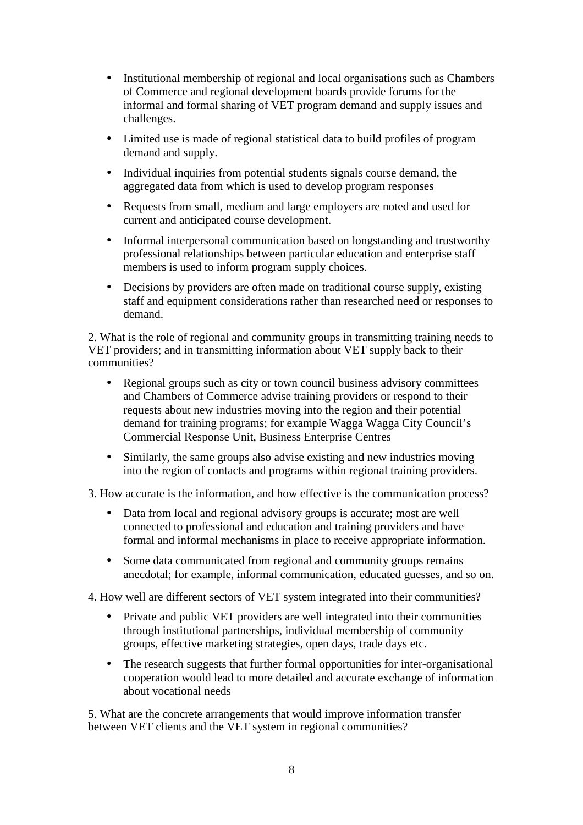- Institutional membership of regional and local organisations such as Chambers of Commerce and regional development boards provide forums for the informal and formal sharing of VET program demand and supply issues and challenges.
- Limited use is made of regional statistical data to build profiles of program demand and supply.
- Individual inquiries from potential students signals course demand, the aggregated data from which is used to develop program responses
- Requests from small, medium and large employers are noted and used for current and anticipated course development.
- Informal interpersonal communication based on longstanding and trustworthy professional relationships between particular education and enterprise staff members is used to inform program supply choices.
- Decisions by providers are often made on traditional course supply, existing staff and equipment considerations rather than researched need or responses to demand.

2. What is the role of regional and community groups in transmitting training needs to VET providers; and in transmitting information about VET supply back to their communities?

- Regional groups such as city or town council business advisory committees and Chambers of Commerce advise training providers or respond to their requests about new industries moving into the region and their potential demand for training programs; for example Wagga Wagga City Council's Commercial Response Unit, Business Enterprise Centres
- Similarly, the same groups also advise existing and new industries moving into the region of contacts and programs within regional training providers.
- 3. How accurate is the information, and how effective is the communication process?
	- Data from local and regional advisory groups is accurate; most are well connected to professional and education and training providers and have formal and informal mechanisms in place to receive appropriate information.
	- Some data communicated from regional and community groups remains anecdotal; for example, informal communication, educated guesses, and so on.
- 4. How well are different sectors of VET system integrated into their communities?
	- Private and public VET providers are well integrated into their communities through institutional partnerships, individual membership of community groups, effective marketing strategies, open days, trade days etc.
	- The research suggests that further formal opportunities for inter-organisational cooperation would lead to more detailed and accurate exchange of information about vocational needs

5. What are the concrete arrangements that would improve information transfer between VET clients and the VET system in regional communities?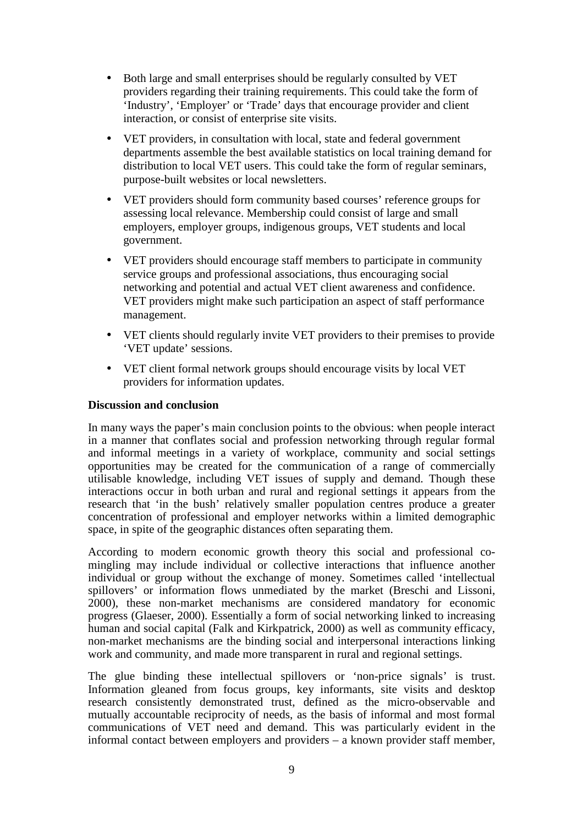- Both large and small enterprises should be regularly consulted by VET providers regarding their training requirements. This could take the form of 'Industry', 'Employer' or 'Trade' days that encourage provider and client interaction, or consist of enterprise site visits.
- VET providers, in consultation with local, state and federal government departments assemble the best available statistics on local training demand for distribution to local VET users. This could take the form of regular seminars, purpose-built websites or local newsletters.
- VET providers should form community based courses' reference groups for assessing local relevance. Membership could consist of large and small employers, employer groups, indigenous groups, VET students and local government.
- VET providers should encourage staff members to participate in community service groups and professional associations, thus encouraging social networking and potential and actual VET client awareness and confidence. VET providers might make such participation an aspect of staff performance management.
- VET clients should regularly invite VET providers to their premises to provide 'VET update' sessions.
- VET client formal network groups should encourage visits by local VET providers for information updates.

## **Discussion and conclusion**

In many ways the paper's main conclusion points to the obvious: when people interact in a manner that conflates social and profession networking through regular formal and informal meetings in a variety of workplace, community and social settings opportunities may be created for the communication of a range of commercially utilisable knowledge, including VET issues of supply and demand. Though these interactions occur in both urban and rural and regional settings it appears from the research that 'in the bush' relatively smaller population centres produce a greater concentration of professional and employer networks within a limited demographic space, in spite of the geographic distances often separating them.

According to modern economic growth theory this social and professional comingling may include individual or collective interactions that influence another individual or group without the exchange of money. Sometimes called 'intellectual spillovers' or information flows unmediated by the market (Breschi and Lissoni, 2000), these non-market mechanisms are considered mandatory for economic progress (Glaeser, 2000). Essentially a form of social networking linked to increasing human and social capital (Falk and Kirkpatrick, 2000) as well as community efficacy, non-market mechanisms are the binding social and interpersonal interactions linking work and community, and made more transparent in rural and regional settings.

The glue binding these intellectual spillovers or 'non-price signals' is trust. Information gleaned from focus groups, key informants, site visits and desktop research consistently demonstrated trust, defined as the micro-observable and mutually accountable reciprocity of needs, as the basis of informal and most formal communications of VET need and demand. This was particularly evident in the informal contact between employers and providers – a known provider staff member,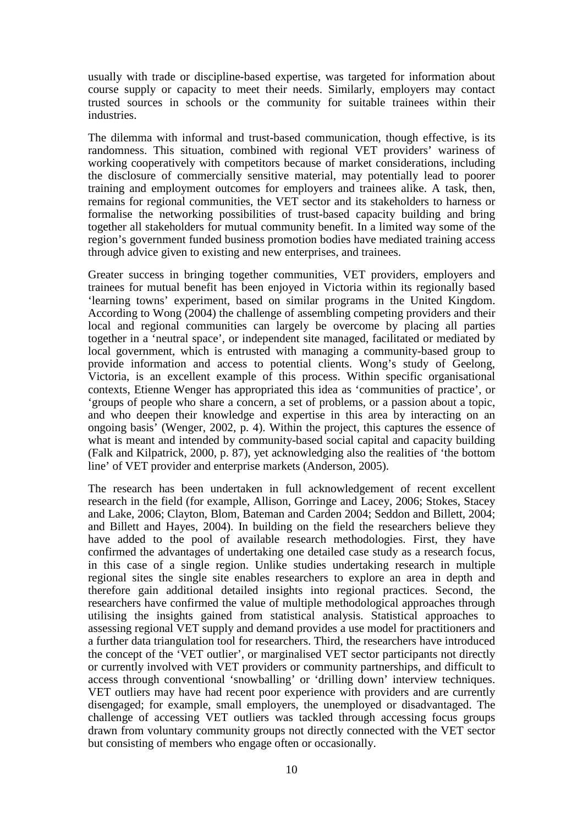usually with trade or discipline-based expertise, was targeted for information about course supply or capacity to meet their needs. Similarly, employers may contact trusted sources in schools or the community for suitable trainees within their industries.

The dilemma with informal and trust-based communication, though effective, is its randomness. This situation, combined with regional VET providers' wariness of working cooperatively with competitors because of market considerations, including the disclosure of commercially sensitive material, may potentially lead to poorer training and employment outcomes for employers and trainees alike. A task, then, remains for regional communities, the VET sector and its stakeholders to harness or formalise the networking possibilities of trust-based capacity building and bring together all stakeholders for mutual community benefit. In a limited way some of the region's government funded business promotion bodies have mediated training access through advice given to existing and new enterprises, and trainees.

Greater success in bringing together communities, VET providers, employers and trainees for mutual benefit has been enjoyed in Victoria within its regionally based 'learning towns' experiment, based on similar programs in the United Kingdom. According to Wong (2004) the challenge of assembling competing providers and their local and regional communities can largely be overcome by placing all parties together in a 'neutral space', or independent site managed, facilitated or mediated by local government, which is entrusted with managing a community-based group to provide information and access to potential clients. Wong's study of Geelong, Victoria, is an excellent example of this process. Within specific organisational contexts, Etienne Wenger has appropriated this idea as 'communities of practice', or 'groups of people who share a concern, a set of problems, or a passion about a topic, and who deepen their knowledge and expertise in this area by interacting on an ongoing basis' (Wenger, 2002, p. 4). Within the project, this captures the essence of what is meant and intended by community-based social capital and capacity building (Falk and Kilpatrick, 2000, p. 87), yet acknowledging also the realities of 'the bottom line' of VET provider and enterprise markets (Anderson, 2005).

The research has been undertaken in full acknowledgement of recent excellent research in the field (for example, Allison, Gorringe and Lacey, 2006; Stokes, Stacey and Lake, 2006; Clayton, Blom, Bateman and Carden 2004; Seddon and Billett, 2004; and Billett and Hayes, 2004). In building on the field the researchers believe they have added to the pool of available research methodologies. First, they have confirmed the advantages of undertaking one detailed case study as a research focus, in this case of a single region. Unlike studies undertaking research in multiple regional sites the single site enables researchers to explore an area in depth and therefore gain additional detailed insights into regional practices. Second, the researchers have confirmed the value of multiple methodological approaches through utilising the insights gained from statistical analysis. Statistical approaches to assessing regional VET supply and demand provides a use model for practitioners and a further data triangulation tool for researchers. Third, the researchers have introduced the concept of the 'VET outlier', or marginalised VET sector participants not directly or currently involved with VET providers or community partnerships, and difficult to access through conventional 'snowballing' or 'drilling down' interview techniques. VET outliers may have had recent poor experience with providers and are currently disengaged; for example, small employers, the unemployed or disadvantaged. The challenge of accessing VET outliers was tackled through accessing focus groups drawn from voluntary community groups not directly connected with the VET sector but consisting of members who engage often or occasionally.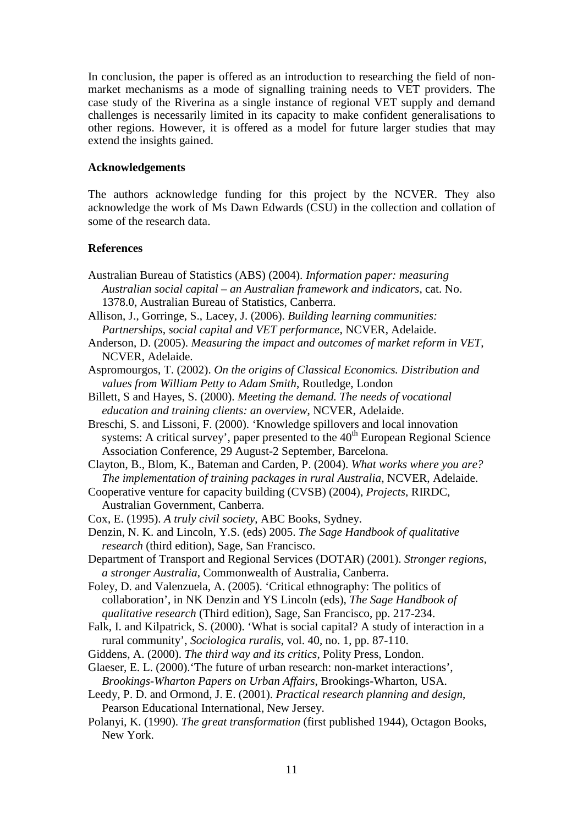In conclusion, the paper is offered as an introduction to researching the field of nonmarket mechanisms as a mode of signalling training needs to VET providers. The case study of the Riverina as a single instance of regional VET supply and demand challenges is necessarily limited in its capacity to make confident generalisations to other regions. However, it is offered as a model for future larger studies that may extend the insights gained.

#### **Acknowledgements**

The authors acknowledge funding for this project by the NCVER. They also acknowledge the work of Ms Dawn Edwards (CSU) in the collection and collation of some of the research data.

#### **References**

- Australian Bureau of Statistics (ABS) (2004). *Information paper: measuring Australian social capital – an Australian framework and indicators*, cat. No. 1378.0, Australian Bureau of Statistics, Canberra.
- Allison, J., Gorringe, S., Lacey, J. (2006). *Building learning communities: Partnerships, social capital and VET performance*, NCVER, Adelaide.
- Anderson, D. (2005). *Measuring the impact and outcomes of market reform in VET*, NCVER, Adelaide.
- Aspromourgos, T. (2002). *On the origins of Classical Economics. Distribution and values from William Petty to Adam Smith*, Routledge, London
- Billett, S and Hayes, S. (2000). *Meeting the demand. The needs of vocational education and training clients: an overview*, NCVER, Adelaide.
- Breschi, S. and Lissoni, F. (2000). 'Knowledge spillovers and local innovation systems: A critical survey', paper presented to the 40<sup>th</sup> European Regional Science Association Conference, 29 August-2 September, Barcelona.

Clayton, B., Blom, K., Bateman and Carden, P. (2004). *What works where you are? The implementation of training packages in rural Australia*, NCVER, Adelaide.

- Cooperative venture for capacity building (CVSB) (2004), *Projects*, RIRDC, Australian Government, Canberra.
- Cox, E. (1995). *A truly civil society*, ABC Books, Sydney.
- Denzin, N. K. and Lincoln, Y.S. (eds) 2005. *The Sage Handbook of qualitative research* (third edition), Sage, San Francisco.
- Department of Transport and Regional Services (DOTAR) (2001). *Stronger regions, a stronger Australia*, Commonwealth of Australia, Canberra.
- Foley, D. and Valenzuela, A. (2005). 'Critical ethnography: The politics of collaboration', in NK Denzin and YS Lincoln (eds), *The Sage Handbook of qualitative research* (Third edition), Sage, San Francisco, pp. 217-234.
- Falk, I. and Kilpatrick, S. (2000). 'What is social capital? A study of interaction in a rural community', *Sociologica ruralis*, vol. 40, no. 1, pp. 87-110.
- Giddens, A. (2000). *The third way and its critics*, Polity Press, London.
- Glaeser, E. L. (2000).'The future of urban research: non-market interactions', *Brookings-Wharton Papers on Urban Affairs*, Brookings-Wharton, USA.
- Leedy, P. D. and Ormond, J. E. (2001). *Practical research planning and design*, Pearson Educational International, New Jersey.
- Polanyi, K. (1990). *The great transformation* (first published 1944), Octagon Books, New York.